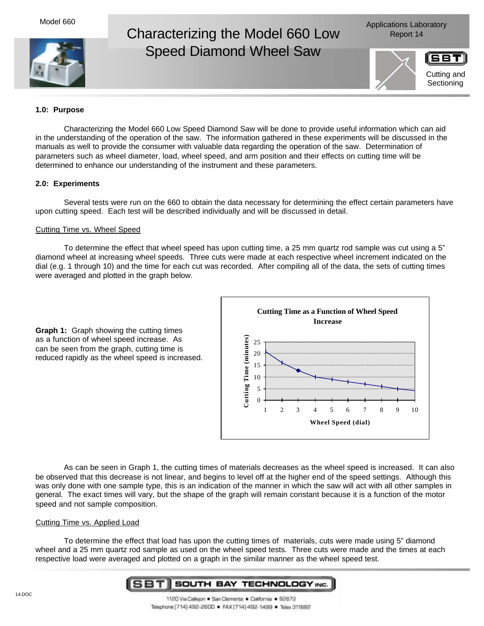Model 660



# Characterizing the Model 660 Low Report 14 Speed Diamond Wheel Saw



# **1.0: Purpose**

Characterizing the Model 660 Low Speed Diamond Saw will be done to provide useful information which can aid in the understanding of the operation of the saw. The information gathered in these experiments will be discussed in the manuals as well to provide the consumer with valuable data regarding the operation of the saw. Determination of parameters such as wheel diameter, load, wheel speed, and arm position and their effects on cutting time will be determined to enhance our understanding of the instrument and these parameters.

## **2.0: Experiments**

Several tests were run on the 660 to obtain the data necessary for determining the effect certain parameters have upon cutting speed. Each test will be described individually and will be discussed in detail.

## Cutting Time vs. Wheel Speed

To determine the effect that wheel speed has upon cutting time, a 25 mm quartz rod sample was cut using a 5" diamond wheel at increasing wheel speeds. Three cuts were made at each respective wheel increment indicated on the dial (e.g. 1 through 10) and the time for each cut was recorded. After compiling all of the data, the sets of cutting times were averaged and plotted in the graph below.

**Graph 1:** Graph showing the cutting times as a function of wheel speed increase. As can be seen from the graph, cutting time is reduced rapidly as the wheel speed is increased.



As can be seen in Graph 1, the cutting times of materials decreases as the wheel speed is increased. It can also be observed that this decrease is not linear, and begins to level off at the higher end of the speed settings. Although this was only done with one sample type, this is an indication of the manner in which the saw will act with all other samples in general. The exact times will vary, but the shape of the graph will remain constant because it is a function of the motor speed and not sample composition.

#### Cutting Time vs. Applied Load

To determine the effect that load has upon the cutting times of materials, cuts were made using 5" diamond wheel and a 25 mm quartz rod sample as used on the wheel speed tests. Three cuts were made and the times at each respective load were averaged and plotted on a graph in the similar manner as the wheel speed test.

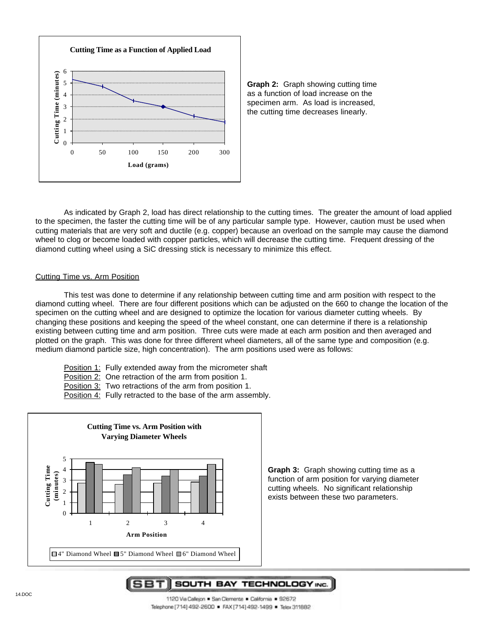



As indicated by Graph 2, load has direct relationship to the cutting times. The greater the amount of load applied to the specimen, the faster the cutting time will be of any particular sample type. However, caution must be used when cutting materials that are very soft and ductile (e.g. copper) because an overload on the sample may cause the diamond wheel to clog or become loaded with copper particles, which will decrease the cutting time. Frequent dressing of the diamond cutting wheel using a SiC dressing stick is necessary to minimize this effect.

#### Cutting Time vs. Arm Position

This test was done to determine if any relationship between cutting time and arm position with respect to the diamond cutting wheel. There are four different positions which can be adjusted on the 660 to change the location of the specimen on the cutting wheel and are designed to optimize the location for various diameter cutting wheels. By changing these positions and keeping the speed of the wheel constant, one can determine if there is a relationship existing between cutting time and arm position. Three cuts were made at each arm position and then averaged and plotted on the graph. This was done for three different wheel diameters, all of the same type and composition (e.g. medium diamond particle size, high concentration). The arm positions used were as follows:

- Position 1: Fully extended away from the micrometer shaft
- Position 2: One retraction of the arm from position 1.
- Position 3: Two retractions of the arm from position 1.
- Position 4: Fully retracted to the base of the arm assembly.



**Graph 3:** Graph showing cutting time as a function of arm position for varying diameter cutting wheels. No significant relationship exists between these two parameters.

5BT|| SOUTH BAY TECHNOLOGY INC.